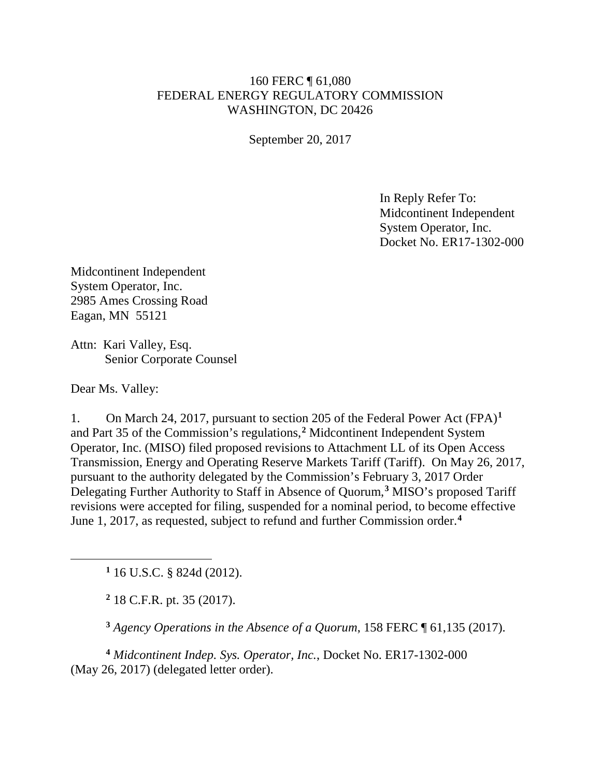## 160 FERC ¶ 61,080 FEDERAL ENERGY REGULATORY COMMISSION WASHINGTON, DC 20426

September 20, 2017

In Reply Refer To: Midcontinent Independent System Operator, Inc. Docket No. ER17-1302-000

Midcontinent Independent System Operator, Inc. 2985 Ames Crossing Road Eagan, MN 55121

Attn: Kari Valley, Esq. Senior Corporate Counsel

Dear Ms. Valley:

<span id="page-0-1"></span><span id="page-0-0"></span> $\overline{a}$ 

1. On March 24, 2017, pursuant to section 205 of the Federal Power Act (FPA)**[1](#page-0-0)** and Part 35 of the Commission's regulations,**[2](#page-0-1)** Midcontinent Independent System Operator, Inc. (MISO) filed proposed revisions to Attachment LL of its Open Access Transmission, Energy and Operating Reserve Markets Tariff (Tariff). On May 26, 2017, pursuant to the authority delegated by the Commission's February 3, 2017 Order Delegating Further Authority to Staff in Absence of Quorum,**[3](#page-0-2)** MISO's proposed Tariff revisions were accepted for filing, suspended for a nominal period, to become effective June 1, 2017, as requested, subject to refund and further Commission order.**[4](#page-0-3)**

**<sup>1</sup>** 16 U.S.C. § 824d (2012).

**<sup>2</sup>** 18 C.F.R. pt. 35 (2017).

**<sup>3</sup>** *Agency Operations in the Absence of a Quorum*, 158 FERC ¶ 61,135 (2017).

<span id="page-0-3"></span><span id="page-0-2"></span>**<sup>4</sup>** *Midcontinent Indep. Sys. Operator, Inc.*, Docket No. ER17-1302-000 (May 26, 2017) (delegated letter order).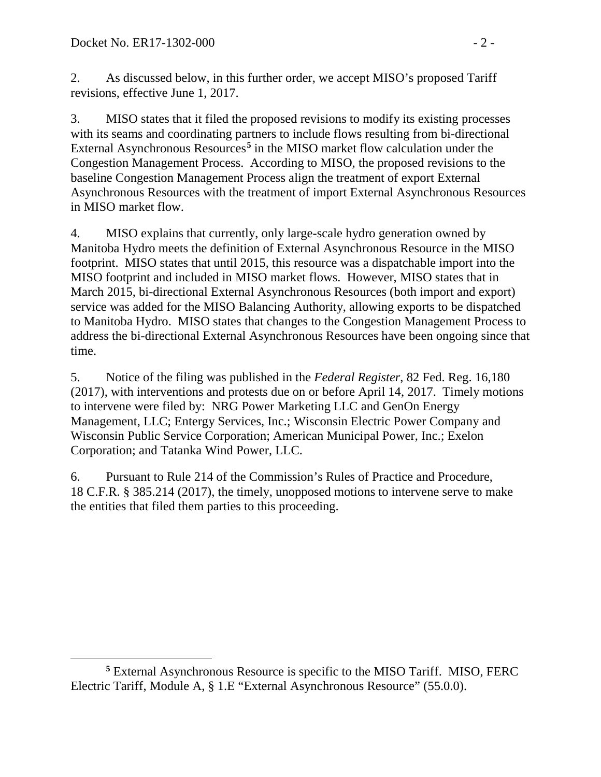2. As discussed below, in this further order, we accept MISO's proposed Tariff revisions, effective June 1, 2017.

3. MISO states that it filed the proposed revisions to modify its existing processes with its seams and coordinating partners to include flows resulting from bi-directional External Asynchronous Resources**[5](#page-1-0)** in the MISO market flow calculation under the Congestion Management Process. According to MISO, the proposed revisions to the baseline Congestion Management Process align the treatment of export External Asynchronous Resources with the treatment of import External Asynchronous Resources in MISO market flow.

4. MISO explains that currently, only large-scale hydro generation owned by Manitoba Hydro meets the definition of External Asynchronous Resource in the MISO footprint. MISO states that until 2015, this resource was a dispatchable import into the MISO footprint and included in MISO market flows. However, MISO states that in March 2015, bi-directional External Asynchronous Resources (both import and export) service was added for the MISO Balancing Authority, allowing exports to be dispatched to Manitoba Hydro. MISO states that changes to the Congestion Management Process to address the bi-directional External Asynchronous Resources have been ongoing since that time.

5. Notice of the filing was published in the *Federal Register*, 82 Fed. Reg. 16,180 (2017), with interventions and protests due on or before April 14, 2017. Timely motions to intervene were filed by: NRG Power Marketing LLC and GenOn Energy Management, LLC; Entergy Services, Inc.; Wisconsin Electric Power Company and Wisconsin Public Service Corporation; American Municipal Power, Inc.; Exelon Corporation; and Tatanka Wind Power, LLC.

6. Pursuant to Rule 214 of the Commission's Rules of Practice and Procedure, 18 C.F.R. § 385.214 (2017), the timely, unopposed motions to intervene serve to make the entities that filed them parties to this proceeding.

<span id="page-1-0"></span> $\overline{a}$ **<sup>5</sup>** External Asynchronous Resource is specific to the MISO Tariff. MISO, FERC Electric Tariff, Module A, § 1.E "External Asynchronous Resource" (55.0.0).